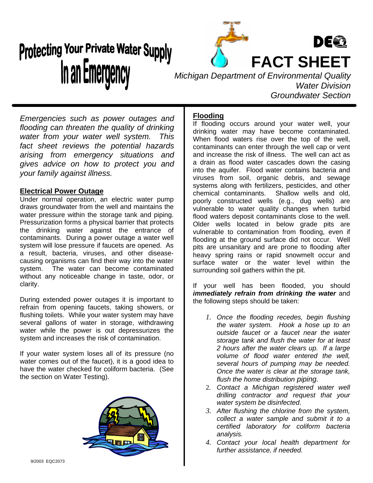# Protecting Your Private Water Supply In an Emergency



*Michigan Department of Environmental Quality Water Division Groundwater Section*

*Emergencies such as power outages and flooding can threaten the quality of drinking water from your water well system. This fact sheet reviews the potential hazards arising from emergency situations and gives advice on how to protect you and your family against illness.*

#### **Electrical Power Outage**

Under normal operation, an electric water pump draws groundwater from the well and maintains the water pressure within the storage tank and piping. Pressurization forms a physical barrier that protects the drinking water against the entrance of contaminants. During a power outage a water well system will lose pressure if faucets are opened. As a result, bacteria, viruses, and other diseasecausing organisms can find their way into the water system. The water can become contaminated without any noticeable change in taste, odor, or clarity.

During extended power outages it is important to refrain from opening faucets, taking showers, or flushing toilets. While your water system may have several gallons of water in storage, withdrawing water while the power is out depressurizes the system and increases the risk of contamination.

If your water system loses all of its pressure (no water comes out of the faucet), it is a good idea to have the water checked for coliform bacteria. (See the section on Water Testing).



### **Flooding**

If flooding occurs around your water well, your drinking water may have become contaminated. When flood waters rise over the top of the well, contaminants can enter through the well cap or vent and increase the risk of illness. The well can act as a drain as flood water cascades down the casing into the aquifer. Flood water contains bacteria and viruses from soil, organic debris, and sewage systems along with fertilizers, pesticides, and other chemical contaminants. Shallow wells and old, poorly constructed wells (e.g., dug wells) are vulnerable to water quality changes when turbid flood waters deposit contaminants close to the well. Older wells located in below grade pits are vulnerable to contamination from flooding, even if flooding at the ground surface did not occur. Well pits are unsanitary and are prone to flooding after heavy spring rains or rapid snowmelt occur and surface water or the water level within the surrounding soil gathers within the pit.

If your well has been flooded, you should *immediately refrain from drinking the water* and the following steps should be taken:

- *1. Once the flooding recedes, begin flushing the water system. Hook a hose up to an outside faucet or a faucet near the water storage tank and flush the water for at least 2 hours after the water clears up. If a large volume of flood water entered the well, several hours of pumping may be needed. Once the water is clear at the storage tank, flush the home distribution piping.*
- 2. *Contact a Michigan registered water well drilling contractor and request that your water system be disinfected*.
- *3. After flushing the chlorine from the system, collect a water sample and submit it to a certified laboratory for coliform bacteria analysis.*
- *4. Contact your local health department for further assistance, if needed.*